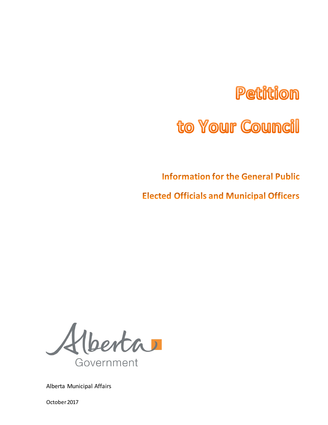# **Petition**

# to Your Council

**Information for the General Public** 

**Elected Officials and Municipal Officers** 

Alberta Government

Alberta Municipal Affairs

October 2017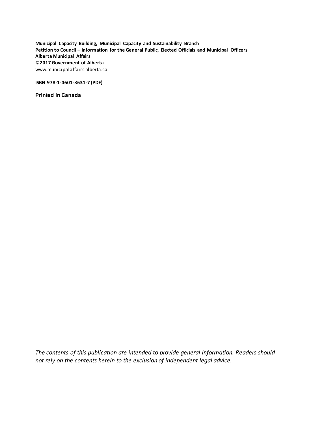**Municipal Capacity Building, Municipal Capacity and Sustainability Branch Petition to Council – Information for the General Public, Elected Officials and Municipal Officers Alberta Municipal Affairs ©2017 Government of Alberta**  www.municipalaffairs.alberta.ca

**ISBN 978-1-4601-3631-7 (PDF)**

**Printed in Canada**

*The contents of this publication are intended to provide general information. Readers should not rely on the contents herein to the exclusion of independent legal advice.*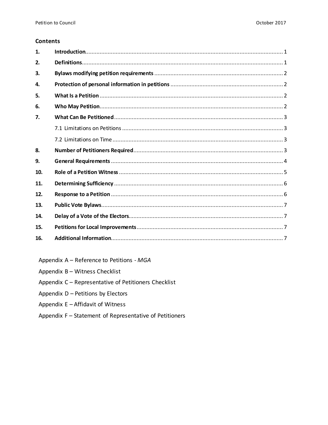#### **Contents**

| 1.  |  |
|-----|--|
| 2.  |  |
| 3.  |  |
| 4.  |  |
| 5.  |  |
| 6.  |  |
| 7.  |  |
|     |  |
|     |  |
| 8.  |  |
| 9.  |  |
| 10. |  |
| 11. |  |
| 12. |  |
| 13. |  |
| 14. |  |
| 15. |  |
| 16. |  |

Appendix A - Reference to Petitions - MGA

Appendix B - Witness Checklist

Appendix C - Representative of Petitioners Checklist

Appendix D - Petitions by Electors

Appendix E - Affidavit of Witness

Appendix F - Statement of Representative of Petitioners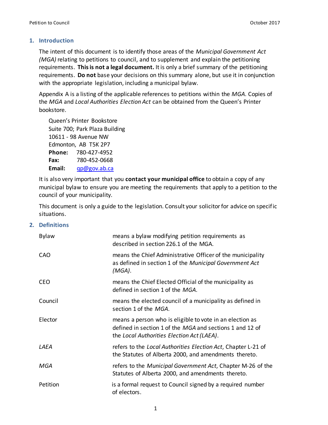## <span id="page-3-0"></span>**1. Introduction**

The intent of this document is to identify those areas of the *Municipal Government Act (MGA)* relating to petitions to council, and to supplement and explain the petitioning requirements. **This is not a legal document.** It is only a brief summary of the petitioning requirements. **Do not** base your decisions on this summary alone, but use it in conjunction with the appropriate legislation, including a municipal bylaw.

Appendix A is a listing of the applicable references to petitions within the *MGA*. Copies of the *MGA* and *Local Authorities Election Act* can be obtained from the Queen's Printer bookstore.

Queen's Printer Bookstore Suite 700; Park Plaza Building 10611 - 98 Avenue NW Edmonton, AB T5K 2P7 **Phone:** 780-427-4952 **Fax:** 780-452-0668 **Email:** [qp@gov.ab.ca](mailto:qp@gov.ab.ca)

It is also very important that you **contact your municipal office** to obtain a copy of any municipal bylaw to ensure you are meeting the requirements that apply to a petition to the council of your municipality.

This document is only a guide to the legislation. Consult your solicitor for advice on specific situations.

## <span id="page-3-1"></span>**2. Definitions**

| <b>Bylaw</b> | means a bylaw modifying petition requirements as<br>described in section 226.1 of the MGA.                                                                         |
|--------------|--------------------------------------------------------------------------------------------------------------------------------------------------------------------|
| CAO          | means the Chief Administrative Officer of the municipality<br>as defined in section 1 of the Municipal Government Act<br>(MGA).                                    |
| <b>CEO</b>   | means the Chief Elected Official of the municipality as<br>defined in section 1 of the MGA.                                                                        |
| Council      | means the elected council of a municipality as defined in<br>section 1 of the MGA.                                                                                 |
| Elector      | means a person who is eligible to vote in an election as<br>defined in section 1 of the MGA and sections 1 and 12 of<br>the Local Authorities Election Act (LAEA). |
| LAEA         | refers to the Local Authorities Election Act, Chapter L-21 of<br>the Statutes of Alberta 2000, and amendments thereto.                                             |
| MGA          | refers to the Municipal Government Act, Chapter M-26 of the<br>Statutes of Alberta 2000, and amendments thereto.                                                   |
| Petition     | is a formal request to Council signed by a required number<br>of electors.                                                                                         |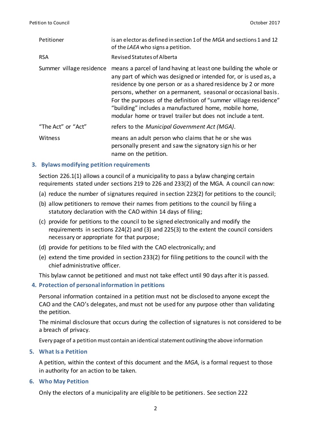| Petitioner               | is an elector as defined in section 1 of the MGA and sections 1 and 12<br>of the LAEA who signs a petition.                                                                                                                                                                                                                                                                                                                                                         |
|--------------------------|---------------------------------------------------------------------------------------------------------------------------------------------------------------------------------------------------------------------------------------------------------------------------------------------------------------------------------------------------------------------------------------------------------------------------------------------------------------------|
| <b>RSA</b>               | Revised Statutes of Alberta                                                                                                                                                                                                                                                                                                                                                                                                                                         |
| Summer village residence | means a parcel of land having at least one building the whole or<br>any part of which was designed or intended for, or is used as, a<br>residence by one person or as a shared residence by 2 or more<br>persons, whether on a permanent, seasonal or occasional basis.<br>For the purposes of the definition of "summer village residence"<br>"building" includes a manufactured home, mobile home,<br>modular home or travel trailer but does not include a tent. |
| "The Act" or "Act"       | refers to the Municipal Government Act (MGA).                                                                                                                                                                                                                                                                                                                                                                                                                       |
| Witness                  | means an adult person who claims that he or she was<br>personally present and saw the signatory sign his or her<br>name on the petition.                                                                                                                                                                                                                                                                                                                            |

## <span id="page-4-0"></span>**3. Bylaws modifying petition requirements**

Section 226.1(1) allows a council of a municipality to pass a bylaw changing certain requirements stated under sections 219 to 226 and 233(2) of the MGA. A council can now:

- (a) reduce the number of signatures required in section 223(2) for petitions to the council;
- (b) allow petitioners to remove their names from petitions to the council by filing a statutory declaration with the CAO within 14 days of filing;
- (c) provide for petitions to the council to be signed electronically and modify the requirements in sections 224(2) and (3) and 225(3) to the extent the council considers necessary or appropriate for that purpose;
- (d) provide for petitions to be filed with the CAO electronically; and
- (e) extend the time provided in section 233(2) for filing petitions to the council with the chief administrative officer.

This bylaw cannot be petitioned and must not take effect until 90 days after it is passed.

## <span id="page-4-1"></span>**4. Protection of personal information in petitions**

Personal information contained in a petition must not be disclosed to anyone except the CAO and the CAO's delegates, and must not be used for any purpose other than validating the petition.

The minimal disclosure that occurs during the collection of signatures is not considered to be a breach of privacy.

Every page of a petition must contain an identical statement outlining the above information

#### <span id="page-4-2"></span>**5. What Is a Petition**

A petition, within the context of this document and the *MGA*, is a formal request to those in authority for an action to be taken.

#### <span id="page-4-3"></span>**6. Who May Petition**

Only the electors of a municipality are eligible to be petitioners. See section 222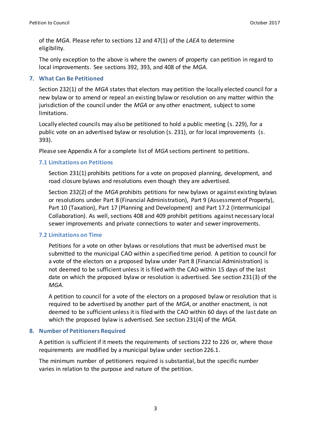of the *MGA*. Please refer to sections 12 and 47(1) of the *LAEA* to determine eligibility.

The only exception to the above is where the owners of property can petition in regard to local improvements. See sections 392, 393, and 408 of the *MGA*.

# <span id="page-5-0"></span>**7. What Can Be Petitioned**

Section 232(1) of the *MGA* states that electors may petition the locally elected council for a new bylaw or to amend or repeal an existing bylaw or resolution on any matter within the jurisdiction of the council under the *MGA* or any other enactment, subject to some limitations.

Locally elected councils may also be petitioned to hold a public meeting (s. 229), for a public vote on an advertised bylaw or resolution (s. 231), or for local improvements (s. 393).

Please see Appendix A for a complete list of *MGA* sections pertinent to petitions.

# <span id="page-5-1"></span>**7.1 Limitations on Petitions**

Section 231(1) prohibits petitions for a vote on proposed planning, development, and road closure bylaws and resolutions even though they are advertised.

Section 232(2) of the *MGA* prohibits petitions for new bylaws or against existing bylaws or resolutions under Part 8 (Financial Administration), Part 9 (Assessment of Property), Part 10 (Taxation), Part 17 (Planning and Development) and Part 17.2 (Intermunicipal Collaboration). As well, sections 408 and 409 prohibit petitions against necessary local sewer improvements and private connections to water and sewer improvements.

## <span id="page-5-2"></span>**7.2 Limitations on Time**

Petitions for a vote on other bylaws or resolutions that must be advertised must be submitted to the municipal CAO within a specified time period. A petition to council for a vote of the electors on a proposed bylaw under Part 8 (Financial Administration) is not deemed to be sufficient unless it is filed with the CAO within 15 days of the last date on which the proposed bylaw or resolution is advertised. See section 231(3) of the *MGA*.

A petition to council for a vote of the electors on a proposed bylaw or resolution that is required to be advertised by another part of the *MGA*, or another enactment, is not deemed to be sufficient unless it is filed with the CAO within 60 days of the last date on which the proposed bylaw is advertised. See section 231(4) of the *MGA.*

# <span id="page-5-3"></span>**8. Number of Petitioners Required**

A petition is sufficient if it meets the requirements of sections 222 to 226 or, where those requirements are modified by a municipal bylaw under section 226.1.

The minimum number of petitioners required is substantial, but the specific number varies in relation to the purpose and nature of the petition.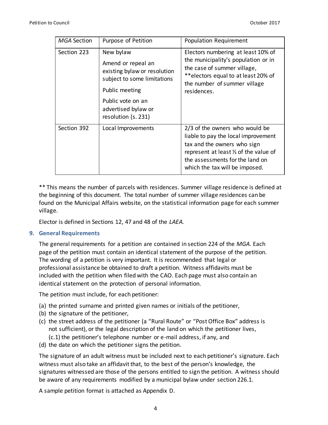| <b>MGA Section</b> | Purpose of Petition                                                                                                                                                                 | Population Requirement                                                                                                                                                                                              |
|--------------------|-------------------------------------------------------------------------------------------------------------------------------------------------------------------------------------|---------------------------------------------------------------------------------------------------------------------------------------------------------------------------------------------------------------------|
| Section 223        | New bylaw<br>Amend or repeal an<br>existing bylaw or resolution<br>subject to some limitations<br>Public meeting<br>Public vote on an<br>advertised bylaw or<br>resolution (s. 231) | Electors numbering at least 10% of<br>the municipality's population or in<br>the case of summer village,<br>**electors equal to at least 20% of<br>the number of summer village<br>residences.                      |
| Section 392        | Local Improvements                                                                                                                                                                  | 2/3 of the owners who would be<br>liable to pay the local improvement<br>tax and the owners who sign<br>represent at least 1/2 of the value of<br>the assessments for the land on<br>which the tax will be imposed. |

\*\* This means the number of parcels with residences. Summer village residence is defined at the beginning of this document. The total number of summer village residences can be found on the Municipal Affairs website, on the statistical information page for each summer village.

Elector is defined in Sections 12, 47 and 48 of the *LAEA.* 

## <span id="page-6-0"></span>**9. General Requirements**

The general requirements for a petition are contained in section 224 of the *MGA*. Each page of the petition must contain an identical statement of the purpose of the petition. The wording of a petition is very important. It is recommended that legal or professional assistance be obtained to draft a petition. Witness affidavits must be included with the petition when filed with the CAO. Each page must also contain an identical statement on the protection of personal information.

The petition must include, for each petitioner:

- (a) the printed surname and printed given names or initials of the petitioner,
- (b) the signature of the petitioner,
- (c) the street address of the petitioner (a "Rural Route" or "Post Office Box" address is not sufficient), or the legal description of the land on which the petitioner lives, (c.1) the petitioner's telephone number or e-mail address, if any, and
- (d) the date on which the petitioner signs the petition.

The signature of an adult witness must be included next to each petitioner's signature. Each witness must also take an affidavit that, to the best of the person's knowledge, the signatures witnessed are those of the persons entitled to sign the petition. A witness should be aware of any requirements modified by a municipal bylaw under section 226.1.

A sample petition format is attached as Appendix D.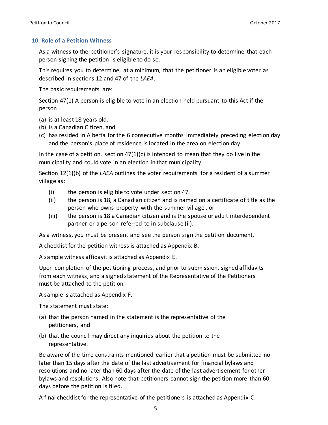#### <span id="page-7-0"></span>**10. Role of a Petition Witness**

As a witness to the petitioner's signature, it is your responsibility to determine that each person signing the petition is eligible to do so.

This requires you to determine, at a minimum, that the petitioner is an eligible voter as described in sections 12 and 47 of the *LAEA*.

The basic requirements are:

Section 47(1) A person is eligible to vote in an election held pursuant to this Act if the person

- (a) is at least 18 years old,
- (b) is a Canadian Citizen, and
- (c) has resided in Alberta for the 6 consecutive months immediately preceding election day and the person's place of residence is located in the area on election day.

In the case of a petition, section  $47(1)(c)$  is intended to mean that they do live in the municipality and could vote in an election in that municipality.

Section 12(1)(b) of the *LAEA* outlines the voter requirements for a resident of a summer village as:

- (i) the person is eligible to vote under section 47.
- (ii) the person is 18, a Canadian citizen and is named on a certificate of title as the person who owns property with the summer village , or
- (iii) the person is 18 a Canadian citizen and is the spouse or adult interdependent partner or a person referred to in subclause (ii).

As a witness, you must be present and see the person sign the petition document.

A checklist for the petition witness is attached as Appendix B.

A sample witness affidavit is attached as Appendix E.

Upon completion of the petitioning process, and prior to submission, signed affidavits from each witness, and a signed statement of the Representative of the Petitioners must be attached to the petition.

A sample is attached as Appendix F.

The statement must state:

- (a) that the person named in the statement is the representative of the petitioners, and
- (b) that the council may direct any inquiries about the petition to the representative.

Be aware of the time constraints mentioned earlier that a petition must be submitted no later than 15 days after the date of the last advertisement for financial bylaws and resolutions and no later than 60 days after the date of the last advertisement for other bylaws and resolutions. Also note that petitioners cannot sign the petition more than 60 days before the petition is filed.

A final checklist for the representative of the petitioners is attached as Appendix C.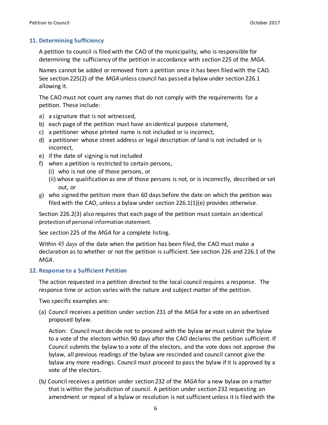# <span id="page-8-0"></span>**11. Determining Sufficiency**

A petition to council is filed with the CAO of the municipality, who is responsible for determining the sufficiency of the petition in accordance with section 225 of the *MGA*.

Names cannot be added or removed from a petition once it has been filed with the CAO. See section 225(2) of the *MGA* unless council has passed a bylaw under section 226.1 allowing it.

The CAO must not count any names that do not comply with the requirements for a petition. These include:

- a) a signature that is not witnessed,
- b) each page of the petition must have an identical purpose statement,
- c) a petitioner whose printed name is not included or is incorrect,
- d) a petitioner whose street address or legal description of land is not included or is incorrect,
- e) if the date of signing is not included
- f) when a petition is restricted to certain persons,
	- (i) who is not one of those persons, or
	- (ii) whose qualification as one of those persons is not, or is incorrectly, described or set out, or
- g) who signed the petition more than 60 days before the date on which the petition was filed with the CAO, unless a bylaw under section  $226.1(1)(e)$  provides otherwise.

Section 226.2(3) also requires that each page of the petition must contain an identical protection of personal information statement.

See section 225 of the *MGA* for a complete listing.

Within 45 days of the date when the petition has been filed, the CAO must make a declaration as to whether or not the petition is sufficient. See section 226 and 226.1 of the *MGA*.

## <span id="page-8-1"></span>**12. Response to a Sufficient Petition**

The action requested in a petition directed to the local council requires a response. The response time or action varies with the nature and subject matter of the petition.

Two specific examples are:

(a) Council receives a petition under section 231 of the *MGA* for a vote on an advertised proposed bylaw.

Action: Council must decide not to proceed with the bylaw **or** must submit the bylaw to a vote of the electors within 90 days after the CAO declares the petition sufficient. If Council submits the bylaw to a vote of the electors, and the vote does not approve the bylaw, all previous readings of the bylaw are rescinded and council cannot give the bylaw any more readings. Council must proceed to pass the bylaw if it is approved by a vote of the electors.

(b*)* Council receives a petition under section 232 of the *MGA* for a new bylaw on a matter that is within the jurisdiction of council*.* A petition under section 232 requesting an amendment or repeal of a bylaw or resolution is not sufficient unless it is filed with the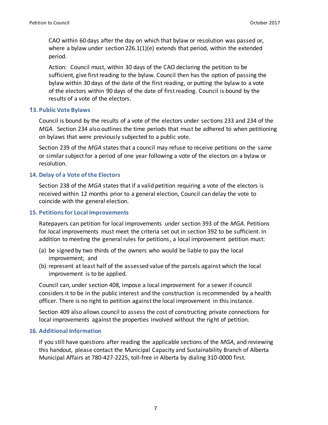CAO within 60 days after the day on which that bylaw or resolution was passed or, where a bylaw under section 226.1(1)(e) extends that period, within the extended period.

Action: Council must, within 30 days of the CAO declaring the petition to be sufficient, give first reading to the bylaw. Council then has the option of passing the bylaw within 30 days of the date of the first reading, or putting the bylaw to a vote of the electors within 90 days of the date of first reading. Council is bound by the results of a vote of the electors.

## <span id="page-9-0"></span>**13. Public Vote Bylaws**

Council is bound by the results of a vote of the electors under sections 233 and 234 of the *MGA*. Section 234 also outlines the time periods that must be adhered to when petitioning on bylaws that were previously subjected to a public vote.

Section 239 of the *MGA* states that a council may refuse to receive petitions on the same or similar subject for a period of one year following a vote of the electors on a bylaw or resolution.

## <span id="page-9-1"></span>**14. Delay of a Vote of the Electors**

Section 238 of the *MGA* states that if a valid petition requiring a vote of the electors is received within 12 months prior to a general election, Council can delay the vote to coincide with the general election.

#### <span id="page-9-2"></span>**15. Petitions for Local Improvements**

Ratepayers can petition for local improvements under section 393 of the *MGA*. Petitions for local improvements must meet the criteria set out in section 392 to be sufficient. In addition to meeting the general rules for petitions, a local improvement petition must:

- (a) be signed by two thirds of the owners who would be liable to pay the local improvement; and
- (b) represent at least half of the assessed value of the parcels against which the local improvement is to be applied.

Council can, under section 408, impose a local improvement for a sewer if council considers it to be in the public interest and the construction is recommended by a health officer. There is no right to petition against the local improvement in this instance.

Section 409 also allows council to assess the cost of constructing private connections for local improvements against the properties involved without the right of petition.

#### <span id="page-9-3"></span>**16. Additional Information**

If you still have questions after reading the applicable sections of the *MGA*, and reviewing this handout, please contact the Municipal Capacity and Sustainability Branch of Alberta Municipal Affairs at 780-427-2225, toll-free in Alberta by dialing 310-0000 first.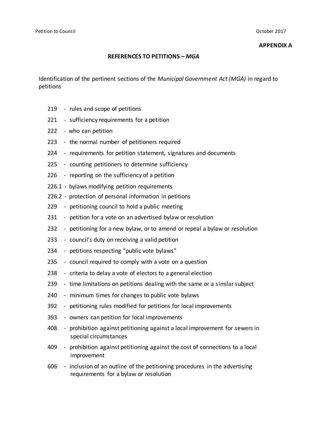#### **APPENDIX A**

#### **REFERENCES TO PETITIONS –** *MGA*

Identification of the pertinent sections of the *Municipal Government Act (MGA)* in regard to petitions

- rules and scope of petitions
- sufficiency requirements for a petition
- who can petition
- the normal number of petitioners required
- requirements for petition statement, signatures and documents
- counting petitioners to determine sufficiency
- reporting on the sufficiency of a petition
- 226.1 bylaws modifying petition requirements
- 226.2 protection of personal information in petitions
- petitioning council to hold a public meeting
- petition for a vote on an advertised bylaw or resolution
- petitioning for a new bylaw, or to amend or repeal a bylaw or resolution
- council's duty on receiving a valid petition
- petitions respecting "public vote bylaws"
- council required to comply with a vote on a question
- criteria to delay a vote of electors to a general election
- time limitations on petitions dealing with the same or a similar subject
- minimum times for changes to public vote bylaws
- petitioning rules modified for petitions for local improvements
- owners can petition for local improvements
- prohibition against petitioning against a local improvement for sewers in special circumstances
- prohibition against petitioning against the cost of connections to a local improvement
- inclusion of an outline of the petitioning procedures in the advertising requirements for a bylaw or resolution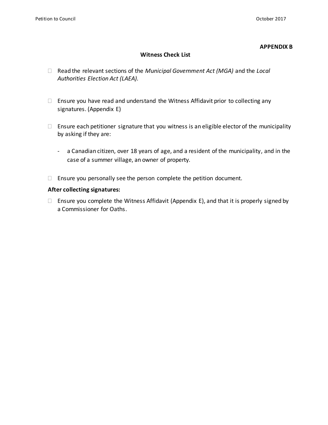#### **APPENDIX B**

#### **Witness Check List**

- Read the relevant sections of the *Municipal Government Act (MGA)* and the *Local Authorities Election Act (LAEA).*
- $\Box$  Ensure you have read and understand the Witness Affidavit prior to collecting any signatures. (Appendix E)
- $\Box$  Ensure each petitioner signature that you witness is an eligible elector of the municipality by asking if they are:
	- a Canadian citizen, over 18 years of age, and a resident of the municipality, and in the case of a summer village, an owner of property.
- $\Box$  Ensure you personally see the person complete the petition document.

#### **After collecting signatures:**

 $\Box$  Ensure you complete the Witness Affidavit (Appendix E), and that it is properly signed by a Commissioner for Oaths.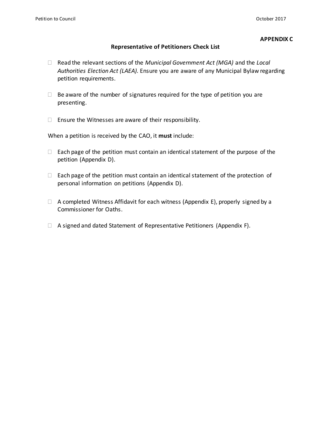#### **APPENDIX C**

#### **Representative of Petitioners Check List**

- Read the relevant sections of the *Municipal Government Act (MGA)* and the *Local Authorities Election Act (LAEA).* Ensure you are aware of any Municipal Bylaw regarding petition requirements.
- $\Box$  Be aware of the number of signatures required for the type of petition you are presenting.
- $\Box$  Ensure the Witnesses are aware of their responsibility.

When a petition is received by the CAO, it **must** include:

- $\Box$  Each page of the petition must contain an identical statement of the purpose of the petition (Appendix D).
- $\Box$  Each page of the petition must contain an identical statement of the protection of personal information on petitions (Appendix D).
- $\Box$  A completed Witness Affidavit for each witness (Appendix E), properly signed by a Commissioner for Oaths.
- $\Box$  A signed and dated Statement of Representative Petitioners (Appendix F).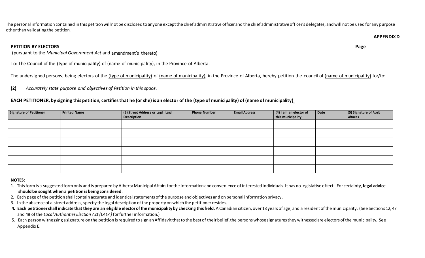The personal information contained in this petition will not be disclosed to anyone except the chief administrative officer and the chief administrative officer's delegates, and will not be used for any purpose other than validating the petition.

#### **PETITION BY ELECTORS Page**

(pursuant to the *Municipal Government Act* and amendment's thereto)

To: The Council of the (type of municipality) of (name of municipality), in the Province of Alberta.

The undersigned persons, being electors of the (type of municipality) of (name of municipality), in the Province of Alberta, hereby petition the council of (name of municipality) for/to:

**(2)** *Accurately state purpose and objectives of Petition in this space.*

# **EACH PETITIONER, by signing this petition, certifies that he (or she) is an elector of the (type of municipality) of (name of municipality).**

| <b>Signature of Petitioner</b> | <b>Printed Name</b> | (3) Street Address or Legal Land<br><b>Description</b> | Phone Number | <b>Email Address</b> | $(4)$ I am an elector of<br>this municipality | Date | (5) Signature of Adult<br><b>Witness</b> |
|--------------------------------|---------------------|--------------------------------------------------------|--------------|----------------------|-----------------------------------------------|------|------------------------------------------|
|                                |                     |                                                        |              |                      |                                               |      |                                          |
|                                |                     |                                                        |              |                      |                                               |      |                                          |
|                                |                     |                                                        |              |                      |                                               |      |                                          |
|                                |                     |                                                        |              |                      |                                               |      |                                          |
|                                |                     |                                                        |              |                      |                                               |      |                                          |
|                                |                     |                                                        |              |                      |                                               |      |                                          |

#### **NOTES:**

- 1. This form is a suggested form only and is prepared by Alberta Municipal Affairs for the information and convenience of interested individuals. It has no legislative effect. For certainty, **legal advice should be sought when a petition is being considered**.
- 2. Each page of the petition shall contain accurate and identical statements of the purpose and objectives and on personal information privacy.

3. In the absence of a street address, specify the legal description of the property on which the petitionerresides.

- 4. Each petitioner shall indicate that they are an eligible elector of the municipality by checking this field. A Canadian citizen, over 18 years of age, and a resident of the municipality. (See Sections 12, 47 and 48 of the *Local Authorities Election Act (LAEA)* for further information.)
- 5. Each person witnessing a signature on the petition is required to sign an Affidavit that to the best of their belief, the persons whose signatures they witnessed are electors of the municipality. See Appendix E.

**APPENDIXD**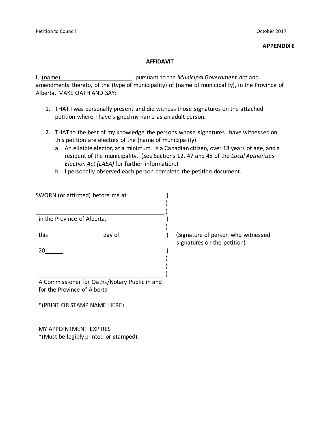#### **APPENDIX E**

#### **AFFIDAVIT**

I, (name) **Fig. 2** and *n* pursuant to the *Municipal Government Act* and amendments thereto, of the (type of municipality) of (name of municipality), in the Province of Alberta, MAKE OATH AND SAY:

- 1. THAT I was personally present and did witness those signatures on the attached petition where I have signed my name as an adult person.
- 2. THAT to the best of my knowledge the persons whose signatures I have witnessed on this petition are electors of the (name of municipality).
	- a. An eligible elector, at a minimum, is a Canadian citizen, over 18 years of age, and a resident of the municipality. (See Sections 12, 47 and 48 of the *Local Authorities Election Act (LAEA)* for further information.)
	- b. I personally observed each person complete the petition document.

| SWORN (or affirmed) before me at                                             |                                                                   |
|------------------------------------------------------------------------------|-------------------------------------------------------------------|
| in the Province of Alberta,                                                  |                                                                   |
| this day of                                                                  | (Signature of person who witnessed<br>signatures on the petition) |
| 20                                                                           |                                                                   |
|                                                                              |                                                                   |
| A Commissioner for Oaths/Notary Public in and<br>for the Province of Alberta |                                                                   |
| *(PRINT OR STAMP NAME HERE)                                                  |                                                                   |
| MY APPOINTMENT EXPIRES                                                       |                                                                   |
| *(Must be legibly printed or stamped).                                       |                                                                   |